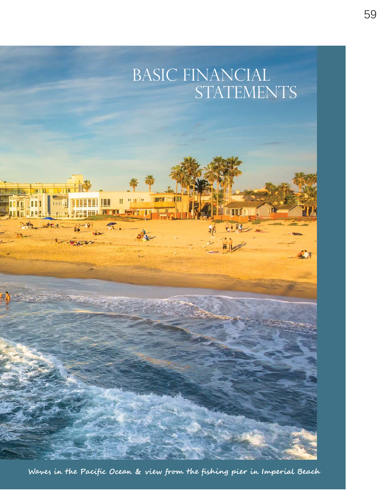



**Waves in the Pacific Ocean & view from the fishing pier in Imperial Beach**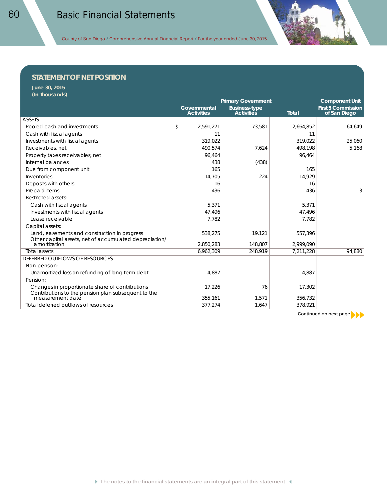County of San Diego **/** Comprehensive Annual Financial Report **/** For the year ended June 30, 2015

## **STATEMENT OF NET POSITION**

**June 30, 2015 (In Thousands)**

|                                                                                                        |                                   | <b>Primary Government</b>                 |              | <b>Component Unit</b>                     |
|--------------------------------------------------------------------------------------------------------|-----------------------------------|-------------------------------------------|--------------|-------------------------------------------|
|                                                                                                        | Governmental<br><b>Activities</b> | <b>Business-type</b><br><b>Activities</b> | <b>Total</b> | <b>First 5 Commission</b><br>of San Diego |
| <b>ASSETS</b>                                                                                          |                                   |                                           |              |                                           |
| Pooled cash and investments                                                                            | \$<br>2,591,271                   | 73,581                                    | 2,664,852    | 64,649                                    |
| Cash with fiscal agents                                                                                | 11                                |                                           | 11           |                                           |
| Investments with fiscal agents                                                                         | 319,022                           |                                           | 319,022      | 25,060                                    |
| Receivables, net                                                                                       | 490.574                           | 7,624                                     | 498.198      | 5,168                                     |
| Property taxes receivables, net                                                                        | 96.464                            |                                           | 96,464       |                                           |
| Internal balances                                                                                      | 438                               | (438)                                     |              |                                           |
| Due from component unit                                                                                | 165                               |                                           | 165          |                                           |
| Inventories                                                                                            | 14,705                            | 224                                       | 14,929       |                                           |
| Deposits with others                                                                                   | 16                                |                                           | 16           |                                           |
| Prepaid items                                                                                          | 436                               |                                           | 436          | 3                                         |
| Restricted assets:                                                                                     |                                   |                                           |              |                                           |
| Cash with fiscal agents                                                                                | 5,371                             |                                           | 5,371        |                                           |
| Investments with fiscal agents                                                                         | 47,496                            |                                           | 47,496       |                                           |
| Lease receivable                                                                                       | 7,782                             |                                           | 7,782        |                                           |
| Capital assets:                                                                                        |                                   |                                           |              |                                           |
| Land, easements and construction in progress                                                           | 538,275                           | 19,121                                    | 557,396      |                                           |
| Other capital assets, net of accumulated depreciation/<br>amortization                                 | 2,850,283                         | 148,807                                   | 2,999,090    |                                           |
| <b>Total assets</b>                                                                                    | 6,962,309                         | 248,919                                   | 7,211,228    | 94,880                                    |
| DEFERRED OUTFLOWS OF RESOURCES                                                                         |                                   |                                           |              |                                           |
| Non-pension:                                                                                           |                                   |                                           |              |                                           |
| Unamortized loss on refunding of long-term debt                                                        | 4,887                             |                                           | 4,887        |                                           |
| Pension:                                                                                               |                                   |                                           |              |                                           |
| Changes in proportionate share of contributions<br>Contributions to the pension plan subsequent to the | 17,226                            | 76                                        | 17,302       |                                           |
| measurement date                                                                                       | 355,161                           | 1,571                                     | 356,732      |                                           |
| Total deferred outflows of resources                                                                   | 377,274                           | 1,647                                     | 378,921      |                                           |

**Continued on next page**

第1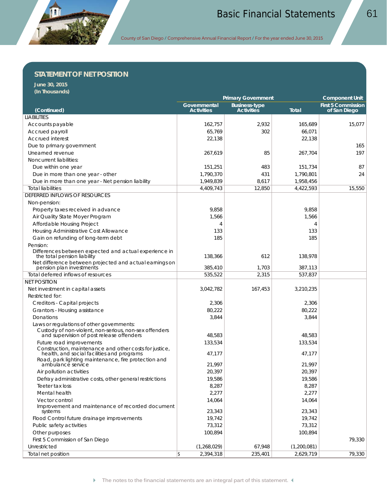

## **STATEMENT OF NET POSITION**

**June 30, 2015 (In Thousands)**

n a

|                                                                                                      |                                   | <b>Primary Government</b>                 | <b>Component Unit</b> |                                           |  |
|------------------------------------------------------------------------------------------------------|-----------------------------------|-------------------------------------------|-----------------------|-------------------------------------------|--|
| (Continued)                                                                                          | Governmental<br><b>Activities</b> | <b>Business-type</b><br><b>Activities</b> | <b>Total</b>          | <b>First 5 Commission</b><br>of San Diego |  |
| <b>LIABILITIES</b>                                                                                   |                                   |                                           |                       |                                           |  |
| Accounts payable                                                                                     | 162,757                           | 2,932                                     | 165,689               | 15,077                                    |  |
| Accrued payroll                                                                                      | 65,769                            | 302                                       | 66,071                |                                           |  |
| <b>Accrued interest</b>                                                                              | 22,138                            |                                           | 22,138                |                                           |  |
| Due to primary government                                                                            |                                   |                                           |                       | 165                                       |  |
| Unearned revenue                                                                                     | 267,619                           | 85                                        | 267,704               | 197                                       |  |
| Noncurrent liabilities:                                                                              |                                   |                                           |                       |                                           |  |
| Due within one year                                                                                  | 151,251                           | 483                                       | 151,734               | 87                                        |  |
|                                                                                                      | 1,790,370                         | 431                                       | 1,790,801             | 24                                        |  |
| Due in more than one year - other<br>Due in more than one year - Net pension liability               | 1,949,839                         | 8,617                                     | 1,958,456             |                                           |  |
| <b>Total liabilities</b>                                                                             |                                   |                                           |                       |                                           |  |
|                                                                                                      | 4,409,743                         | 12,850                                    | 4,422,593             | 15,550                                    |  |
| DEFERRED INFLOWS OF RESOURCES                                                                        |                                   |                                           |                       |                                           |  |
| Non-pension:                                                                                         |                                   |                                           |                       |                                           |  |
| Property taxes received in advance                                                                   | 9,858                             |                                           | 9,858                 |                                           |  |
| Air Quality State Moyer Program                                                                      | 1,566                             |                                           | 1,566                 |                                           |  |
| Affordable Housing Project                                                                           | 4                                 |                                           | 4                     |                                           |  |
| Housing Administrative Cost Allowance                                                                | 133                               |                                           | 133                   |                                           |  |
| Gain on refunding of long-term debt                                                                  | 185                               |                                           | 185                   |                                           |  |
| Pension:                                                                                             |                                   |                                           |                       |                                           |  |
| Differences between expected and actual experience in<br>the total pension liability                 | 138,366                           | 612                                       | 138,978               |                                           |  |
| Net difference between projected and actual earnings on                                              |                                   |                                           |                       |                                           |  |
| pension plan investments                                                                             | 385,410                           | 1,703                                     | 387,113               |                                           |  |
| Total deferred inflows of resources                                                                  | 535,522                           | 2,315                                     | 537,837               |                                           |  |
| <b>NET POSITION</b>                                                                                  |                                   |                                           |                       |                                           |  |
| Net investment in capital assets                                                                     | 3,042,782                         | 167,453                                   | 3,210,235             |                                           |  |
| Restricted for:                                                                                      |                                   |                                           |                       |                                           |  |
| Creditors - Capital projects                                                                         | 2,306                             |                                           | 2,306                 |                                           |  |
| Grantors - Housing assistance                                                                        | 80,222                            |                                           | 80,222                |                                           |  |
| Donations                                                                                            | 3,844                             |                                           | 3,844                 |                                           |  |
| Laws or regulations of other governments:                                                            |                                   |                                           |                       |                                           |  |
| Custody of non-violent, non-serious, non-sex offenders                                               |                                   |                                           |                       |                                           |  |
| and supervision of post release offenders                                                            | 48,583                            |                                           | 48,583                |                                           |  |
| Future road improvements                                                                             | 133,534                           |                                           | 133,534               |                                           |  |
| Construction, maintenance and other costs for justice,<br>health, and social facilities and programs | 47,177                            |                                           | 47,177                |                                           |  |
| Road, park lighting maintenance, fire protection and                                                 |                                   |                                           |                       |                                           |  |
| ambulance service                                                                                    | 21,997                            |                                           | 21,997                |                                           |  |
| Air pollution activities                                                                             | 20,397                            |                                           | 20,397                |                                           |  |
| Defray administrative costs, other general restrictions                                              | 19,586                            |                                           | 19,586                |                                           |  |
| Teeter tax loss                                                                                      | 8,287                             |                                           | 8,287                 |                                           |  |
| Mental health                                                                                        | 2,277                             |                                           | 2,277                 |                                           |  |
| Vector control                                                                                       | 14,064                            |                                           | 14,064                |                                           |  |
| Improvement and maintenance of recorded document<br>systems                                          | 23,343                            |                                           | 23,343                |                                           |  |
| Flood Control future drainage improvements                                                           | 19,742                            |                                           | 19,742                |                                           |  |
| Public safety activities                                                                             | 73,312                            |                                           | 73,312                |                                           |  |
| Other purposes                                                                                       | 100,894                           |                                           | 100,894               |                                           |  |
| First 5 Commission of San Diego                                                                      |                                   |                                           |                       | 79,330                                    |  |
| Unrestricted                                                                                         | (1,268,029)                       | 67,948                                    | (1,200,081)           |                                           |  |
| Total net position                                                                                   | 2,394,318<br>\$                   | 235,401                                   | 2,629,719             | 79,330                                    |  |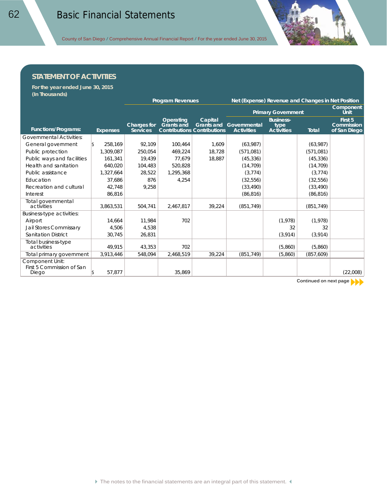## **STATEMENT OF ACTIVITIES**

**For the year ended June 30, 2015 (In Thousands)**

|                                    |                 |                                       | <b>Program Revenues</b>                                       |                       | Net (Expense) Revenue and Changes in Net Position |                                               |              |                                       |
|------------------------------------|-----------------|---------------------------------------|---------------------------------------------------------------|-----------------------|---------------------------------------------------|-----------------------------------------------|--------------|---------------------------------------|
|                                    |                 |                                       |                                                               |                       |                                                   | <b>Primary Government</b>                     |              | Component<br>Unit                     |
| <b>Functions/Programs:</b>         | <b>Expenses</b> | <b>Charges for</b><br><b>Services</b> | Operating<br>Grants and<br><b>Contributions Contributions</b> | Capital<br>Grants and | Governmental<br><b>Activities</b>                 | <b>Business-</b><br>type<br><b>Activities</b> | <b>Total</b> | First 5<br>Commission<br>of San Diego |
| <b>Governmental Activities:</b>    |                 |                                       |                                                               |                       |                                                   |                                               |              |                                       |
| General government                 | 258.169         | 92,109                                | 100.464                                                       | 1,609                 | (63,987)                                          |                                               | (63,987)     |                                       |
| Public protection                  | 1,309,087       | 250,054                               | 469,224                                                       | 18,728                | (571,081)                                         |                                               | (571,081)    |                                       |
| Public ways and facilities         | 161.341         | 19,439                                | 77.679                                                        | 18,887                | (45, 336)                                         |                                               | (45, 336)    |                                       |
| Health and sanitation              | 640.020         | 104,483                               | 520,828                                                       |                       | (14, 709)                                         |                                               | (14, 709)    |                                       |
| Public assistance                  | 1,327,664       | 28,522                                | 1,295,368                                                     |                       | (3, 774)                                          |                                               | (3, 774)     |                                       |
| Education                          | 37,686          | 876                                   | 4,254                                                         |                       | (32, 556)                                         |                                               | (32, 556)    |                                       |
| Recreation and cultural            | 42,748          | 9,258                                 |                                                               |                       | (33, 490)                                         |                                               | (33, 490)    |                                       |
| Interest                           | 86,816          |                                       |                                                               |                       | (86, 816)                                         |                                               | (86, 816)    |                                       |
| Total governmental<br>activities   | 3,863,531       | 504,741                               | 2,467,817                                                     | 39,224                | (851, 749)                                        |                                               | (851, 749)   |                                       |
| Business-type activities:          |                 |                                       |                                                               |                       |                                                   |                                               |              |                                       |
| Airport                            | 14.664          | 11.984                                | 702                                                           |                       |                                                   | (1,978)                                       | (1,978)      |                                       |
| Jail Stores Commissary             | 4,506           | 4,538                                 |                                                               |                       |                                                   | 32                                            | 32           |                                       |
| <b>Sanitation District</b>         | 30,745          | 26,831                                |                                                               |                       |                                                   | (3, 914)                                      | (3,914)      |                                       |
| Total business-type<br>activities  | 49,915          | 43,353                                | 702                                                           |                       |                                                   | (5,860)                                       | (5,860)      |                                       |
| Total primary government           | 3,913,446       | 548,094                               | 2,468,519                                                     | 39,224                | (851, 749)                                        | (5,860)                                       | (857, 609)   |                                       |
| Component Unit:                    |                 |                                       |                                                               |                       |                                                   |                                               |              |                                       |
| First 5 Commission of San<br>Diego | 57,877<br>Ś     |                                       | 35,869                                                        |                       |                                                   |                                               |              | (22,008)                              |

**Continued on next page**

 $\mathbb{Z}^*$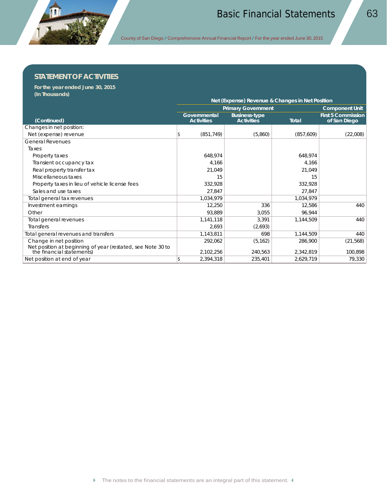

## **STATEMENT OF ACTIVITIES**

n a

**For the year ended June 30, 2015 (In Thousands)**

|                                                                                          | Net (Expense) Revenue & Changes in Net Position |                                           |              |                                           |  |  |
|------------------------------------------------------------------------------------------|-------------------------------------------------|-------------------------------------------|--------------|-------------------------------------------|--|--|
|                                                                                          |                                                 | <b>Primary Government</b>                 |              | <b>Component Unit</b>                     |  |  |
| (Continued)                                                                              | Governmental<br><b>Activities</b>               | <b>Business-type</b><br><b>Activities</b> | <b>Total</b> | <b>First 5 Commission</b><br>of San Diego |  |  |
| Changes in net position:                                                                 |                                                 |                                           |              |                                           |  |  |
| Net (expense) revenue                                                                    | (851, 749)                                      | (5,860)                                   | (857,609)    | (22,008)                                  |  |  |
| <b>General Revenues</b>                                                                  |                                                 |                                           |              |                                           |  |  |
| Taxes                                                                                    |                                                 |                                           |              |                                           |  |  |
| Property taxes                                                                           | 648,974                                         |                                           | 648,974      |                                           |  |  |
| Transient occupancy tax                                                                  | 4,166                                           |                                           | 4,166        |                                           |  |  |
| Real property transfer tax                                                               | 21,049                                          |                                           | 21,049       |                                           |  |  |
| Miscellaneous taxes                                                                      | 15                                              |                                           | 15           |                                           |  |  |
| Property taxes in lieu of vehicle license fees                                           | 332,928                                         |                                           | 332,928      |                                           |  |  |
| Sales and use taxes                                                                      | 27,847                                          |                                           | 27,847       |                                           |  |  |
| Total general tax revenues                                                               | 1,034,979                                       |                                           | 1,034,979    |                                           |  |  |
| Investment earnings                                                                      | 12,250                                          | 336                                       | 12,586       | 440                                       |  |  |
| Other                                                                                    | 93,889                                          | 3,055                                     | 96,944       |                                           |  |  |
| Total general revenues                                                                   | 1,141,118                                       | 3,391                                     | 1,144,509    | 440                                       |  |  |
| <b>Transfers</b>                                                                         | 2,693                                           | (2,693)                                   |              |                                           |  |  |
| Total general revenues and transfers                                                     | 1,143,811                                       | 698                                       | 1,144,509    | 440                                       |  |  |
| Change in net position                                                                   | 292,062                                         | (5, 162)                                  | 286,900      | (21, 568)                                 |  |  |
| Net position at beginning of year (restated, see Note 30 to<br>the financial statements) | 2,102,256                                       | 240,563                                   | 2,342,819    | 100,898                                   |  |  |
| Net position at end of year                                                              | 2,394,318                                       | 235,401                                   | 2,629,719    | 79,330                                    |  |  |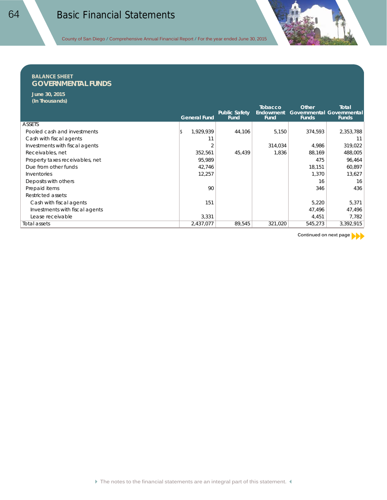County of San Diego **/** Comprehensive Annual Financial Report **/** For the year ended June 30, 2015

### **BALANCE SHEET GOVERNMENTAL FUNDS**

**June 30, 2015 (In Thousands)**

|                                 |                     | <b>Public Safety</b> | Tobacco<br><b>Endowment</b> | Other<br><b>Governmental Governmental</b> | Total        |
|---------------------------------|---------------------|----------------------|-----------------------------|-------------------------------------------|--------------|
|                                 | <b>General Fund</b> | Fund                 | Fund                        | <b>Funds</b>                              | <b>Funds</b> |
| <b>ASSETS</b>                   |                     |                      |                             |                                           |              |
| Pooled cash and investments     | 1,929,939           | 44,106               | 5,150                       | 374,593                                   | 2,353,788    |
| Cash with fiscal agents         | 11                  |                      |                             |                                           |              |
| Investments with fiscal agents  |                     |                      | 314.034                     | 4,986                                     | 319,022      |
| Receivables, net                | 352,561             | 45,439               | 1,836                       | 88,169                                    | 488,005      |
| Property taxes receivables, net | 95,989              |                      |                             | 475                                       | 96,464       |
| Due from other funds            | 42,746              |                      |                             | 18,151                                    | 60,897       |
| Inventories                     | 12,257              |                      |                             | 1,370                                     | 13,627       |
| Deposits with others            |                     |                      |                             | 16                                        | 16           |
| Prepaid items                   | 90                  |                      |                             | 346                                       | 436          |
| Restricted assets:              |                     |                      |                             |                                           |              |
| Cash with fiscal agents         | 151                 |                      |                             | 5,220                                     | 5,371        |
| Investments with fiscal agents  |                     |                      |                             | 47,496                                    | 47,496       |
| Lease receivable                | 3,331               |                      |                             | 4,451                                     | 7,782        |
| Total assets                    | 2,437,077           | 89,545               | 321,020                     | 545,273                                   | 3,392,915    |

**Continued on next page**

第1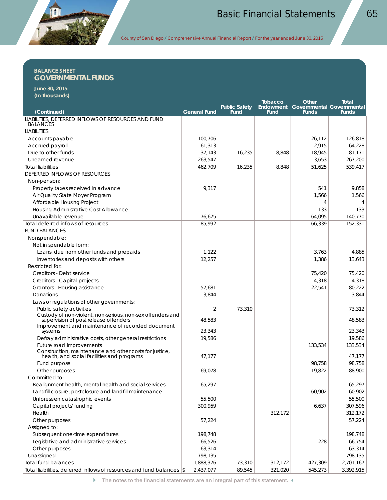

#### **BALANCE SHEET GOVERNMENTAL FUNDS**

**June 30, 2015 (In Thousands)**

n a

| Endowment Governmental Governmental<br>(Continued)<br><b>General Fund</b><br>Fund<br><b>Funds</b><br>Fund<br><b>Funds</b><br>LIABILITIES, DEFERRED INFLOWS OF RESOURCES AND FUND<br><b>BALANCES</b><br><b>LIABILITIES</b><br>100,706<br>26,112<br>126,818<br>Accounts payable<br>Accrued payroll<br>61,313<br>2,915<br>64,228<br>Due to other funds<br>37,143<br>16,235<br>8,848<br>18,945<br>81,171<br>267,200<br>Unearned revenue<br>263,547<br>3,653<br>462,709<br>16,235<br>8,848<br>51,625<br><b>Total liabilities</b><br>DEFERRED INFLOWS OF RESOURCES<br>Non-pension:<br>9,317<br>Property taxes received in advance<br>541<br>9,858<br>Air Quality State Moyer Program<br>1,566<br>1,566<br>Affordable Housing Project<br>$\overline{4}$<br>4<br>133<br>133<br>Housing Administrative Cost Allowance<br>Unavailable revenue<br>76,675<br>64,095<br>140,770<br>85,992<br>152,331<br>Total deferred inflows of resources<br>66.339<br><b>FUND BALANCES</b><br>Nonspendable:<br>Not in spendable form:<br>Loans, due from other funds and prepaids<br>1,122<br>3,763<br>4,885<br>Inventories and deposits with others<br>12,257<br>1,386<br>13,643<br>Restricted for:<br>Creditors - Debt service<br>75,420<br>75,420<br>Creditors - Capital projects<br>4,318<br>4,318<br>80,222<br>Grantors - Housing assistance<br>57,681<br>22,541<br>3,844<br>Donations<br>3,844<br>Laws or regulations of other governments:<br>Public safety activities<br>2<br>73,310<br>73,312<br>Custody of non-violent, non-serious, non-sex offenders and<br>supervision of post release offenders<br>48,583<br>48,583<br>Improvement and maintenance of recorded document<br>23,343<br>23,343<br>systems<br>19,586<br>19,586<br>Defray administrative costs, other general restrictions<br>Future road improvements<br>133,534<br>133,534<br>Construction, maintenance and other costs for justice,<br>health, and social facilities and programs<br>47,177<br>47,177<br>98,758<br>Fund purpose<br>98,758<br>88,900<br>Other purposes<br>69.078<br>19,822<br>Committed to:<br>Realignment health, mental health and social services<br>65,297<br>Landfill closure, postclosure and landfill maintenance<br>60,902<br>55,500<br>Unforeseen catastrophic events<br>Capital projects' funding<br>300,959<br>6,637<br>312,172<br>Health<br>Other purposes<br>57,224<br>57,224<br>Assigned to:<br>Subsequent one-time expenditures<br>198,748<br>228<br>Legislative and administrative services<br>66,526<br>63,314<br>Other purposes<br>798,135<br>Unassigned<br><b>Total fund balances</b><br>73,310<br>312,172<br>1,888,376<br>427,309<br>Total liabilities, deferred inflows of resources and fund balances \$<br>2,437,077<br>89,545<br>321,020<br>545,273 |  |                      | <b>Tobacco</b> | Other | Total |
|----------------------------------------------------------------------------------------------------------------------------------------------------------------------------------------------------------------------------------------------------------------------------------------------------------------------------------------------------------------------------------------------------------------------------------------------------------------------------------------------------------------------------------------------------------------------------------------------------------------------------------------------------------------------------------------------------------------------------------------------------------------------------------------------------------------------------------------------------------------------------------------------------------------------------------------------------------------------------------------------------------------------------------------------------------------------------------------------------------------------------------------------------------------------------------------------------------------------------------------------------------------------------------------------------------------------------------------------------------------------------------------------------------------------------------------------------------------------------------------------------------------------------------------------------------------------------------------------------------------------------------------------------------------------------------------------------------------------------------------------------------------------------------------------------------------------------------------------------------------------------------------------------------------------------------------------------------------------------------------------------------------------------------------------------------------------------------------------------------------------------------------------------------------------------------------------------------------------------------------------------------------------------------------------------------------------------------------------------------------------------------------------------------------------------------------------------------------------------------------------------------------------------------------------------------------------------------------------------------------------------------------------------------------------------------------------------------------------------------------------|--|----------------------|----------------|-------|-------|
|                                                                                                                                                                                                                                                                                                                                                                                                                                                                                                                                                                                                                                                                                                                                                                                                                                                                                                                                                                                                                                                                                                                                                                                                                                                                                                                                                                                                                                                                                                                                                                                                                                                                                                                                                                                                                                                                                                                                                                                                                                                                                                                                                                                                                                                                                                                                                                                                                                                                                                                                                                                                                                                                                                                                              |  | <b>Public Safety</b> |                |       |       |
| 539,417<br>65,297<br>60,902<br>55,500<br>198,748                                                                                                                                                                                                                                                                                                                                                                                                                                                                                                                                                                                                                                                                                                                                                                                                                                                                                                                                                                                                                                                                                                                                                                                                                                                                                                                                                                                                                                                                                                                                                                                                                                                                                                                                                                                                                                                                                                                                                                                                                                                                                                                                                                                                                                                                                                                                                                                                                                                                                                                                                                                                                                                                                             |  |                      |                |       |       |
|                                                                                                                                                                                                                                                                                                                                                                                                                                                                                                                                                                                                                                                                                                                                                                                                                                                                                                                                                                                                                                                                                                                                                                                                                                                                                                                                                                                                                                                                                                                                                                                                                                                                                                                                                                                                                                                                                                                                                                                                                                                                                                                                                                                                                                                                                                                                                                                                                                                                                                                                                                                                                                                                                                                                              |  |                      |                |       |       |
|                                                                                                                                                                                                                                                                                                                                                                                                                                                                                                                                                                                                                                                                                                                                                                                                                                                                                                                                                                                                                                                                                                                                                                                                                                                                                                                                                                                                                                                                                                                                                                                                                                                                                                                                                                                                                                                                                                                                                                                                                                                                                                                                                                                                                                                                                                                                                                                                                                                                                                                                                                                                                                                                                                                                              |  |                      |                |       |       |
|                                                                                                                                                                                                                                                                                                                                                                                                                                                                                                                                                                                                                                                                                                                                                                                                                                                                                                                                                                                                                                                                                                                                                                                                                                                                                                                                                                                                                                                                                                                                                                                                                                                                                                                                                                                                                                                                                                                                                                                                                                                                                                                                                                                                                                                                                                                                                                                                                                                                                                                                                                                                                                                                                                                                              |  |                      |                |       |       |
|                                                                                                                                                                                                                                                                                                                                                                                                                                                                                                                                                                                                                                                                                                                                                                                                                                                                                                                                                                                                                                                                                                                                                                                                                                                                                                                                                                                                                                                                                                                                                                                                                                                                                                                                                                                                                                                                                                                                                                                                                                                                                                                                                                                                                                                                                                                                                                                                                                                                                                                                                                                                                                                                                                                                              |  |                      |                |       |       |
|                                                                                                                                                                                                                                                                                                                                                                                                                                                                                                                                                                                                                                                                                                                                                                                                                                                                                                                                                                                                                                                                                                                                                                                                                                                                                                                                                                                                                                                                                                                                                                                                                                                                                                                                                                                                                                                                                                                                                                                                                                                                                                                                                                                                                                                                                                                                                                                                                                                                                                                                                                                                                                                                                                                                              |  |                      |                |       |       |
|                                                                                                                                                                                                                                                                                                                                                                                                                                                                                                                                                                                                                                                                                                                                                                                                                                                                                                                                                                                                                                                                                                                                                                                                                                                                                                                                                                                                                                                                                                                                                                                                                                                                                                                                                                                                                                                                                                                                                                                                                                                                                                                                                                                                                                                                                                                                                                                                                                                                                                                                                                                                                                                                                                                                              |  |                      |                |       |       |
|                                                                                                                                                                                                                                                                                                                                                                                                                                                                                                                                                                                                                                                                                                                                                                                                                                                                                                                                                                                                                                                                                                                                                                                                                                                                                                                                                                                                                                                                                                                                                                                                                                                                                                                                                                                                                                                                                                                                                                                                                                                                                                                                                                                                                                                                                                                                                                                                                                                                                                                                                                                                                                                                                                                                              |  |                      |                |       |       |
|                                                                                                                                                                                                                                                                                                                                                                                                                                                                                                                                                                                                                                                                                                                                                                                                                                                                                                                                                                                                                                                                                                                                                                                                                                                                                                                                                                                                                                                                                                                                                                                                                                                                                                                                                                                                                                                                                                                                                                                                                                                                                                                                                                                                                                                                                                                                                                                                                                                                                                                                                                                                                                                                                                                                              |  |                      |                |       |       |
|                                                                                                                                                                                                                                                                                                                                                                                                                                                                                                                                                                                                                                                                                                                                                                                                                                                                                                                                                                                                                                                                                                                                                                                                                                                                                                                                                                                                                                                                                                                                                                                                                                                                                                                                                                                                                                                                                                                                                                                                                                                                                                                                                                                                                                                                                                                                                                                                                                                                                                                                                                                                                                                                                                                                              |  |                      |                |       |       |
|                                                                                                                                                                                                                                                                                                                                                                                                                                                                                                                                                                                                                                                                                                                                                                                                                                                                                                                                                                                                                                                                                                                                                                                                                                                                                                                                                                                                                                                                                                                                                                                                                                                                                                                                                                                                                                                                                                                                                                                                                                                                                                                                                                                                                                                                                                                                                                                                                                                                                                                                                                                                                                                                                                                                              |  |                      |                |       |       |
|                                                                                                                                                                                                                                                                                                                                                                                                                                                                                                                                                                                                                                                                                                                                                                                                                                                                                                                                                                                                                                                                                                                                                                                                                                                                                                                                                                                                                                                                                                                                                                                                                                                                                                                                                                                                                                                                                                                                                                                                                                                                                                                                                                                                                                                                                                                                                                                                                                                                                                                                                                                                                                                                                                                                              |  |                      |                |       |       |
|                                                                                                                                                                                                                                                                                                                                                                                                                                                                                                                                                                                                                                                                                                                                                                                                                                                                                                                                                                                                                                                                                                                                                                                                                                                                                                                                                                                                                                                                                                                                                                                                                                                                                                                                                                                                                                                                                                                                                                                                                                                                                                                                                                                                                                                                                                                                                                                                                                                                                                                                                                                                                                                                                                                                              |  |                      |                |       |       |
|                                                                                                                                                                                                                                                                                                                                                                                                                                                                                                                                                                                                                                                                                                                                                                                                                                                                                                                                                                                                                                                                                                                                                                                                                                                                                                                                                                                                                                                                                                                                                                                                                                                                                                                                                                                                                                                                                                                                                                                                                                                                                                                                                                                                                                                                                                                                                                                                                                                                                                                                                                                                                                                                                                                                              |  |                      |                |       |       |
|                                                                                                                                                                                                                                                                                                                                                                                                                                                                                                                                                                                                                                                                                                                                                                                                                                                                                                                                                                                                                                                                                                                                                                                                                                                                                                                                                                                                                                                                                                                                                                                                                                                                                                                                                                                                                                                                                                                                                                                                                                                                                                                                                                                                                                                                                                                                                                                                                                                                                                                                                                                                                                                                                                                                              |  |                      |                |       |       |
|                                                                                                                                                                                                                                                                                                                                                                                                                                                                                                                                                                                                                                                                                                                                                                                                                                                                                                                                                                                                                                                                                                                                                                                                                                                                                                                                                                                                                                                                                                                                                                                                                                                                                                                                                                                                                                                                                                                                                                                                                                                                                                                                                                                                                                                                                                                                                                                                                                                                                                                                                                                                                                                                                                                                              |  |                      |                |       |       |
|                                                                                                                                                                                                                                                                                                                                                                                                                                                                                                                                                                                                                                                                                                                                                                                                                                                                                                                                                                                                                                                                                                                                                                                                                                                                                                                                                                                                                                                                                                                                                                                                                                                                                                                                                                                                                                                                                                                                                                                                                                                                                                                                                                                                                                                                                                                                                                                                                                                                                                                                                                                                                                                                                                                                              |  |                      |                |       |       |
|                                                                                                                                                                                                                                                                                                                                                                                                                                                                                                                                                                                                                                                                                                                                                                                                                                                                                                                                                                                                                                                                                                                                                                                                                                                                                                                                                                                                                                                                                                                                                                                                                                                                                                                                                                                                                                                                                                                                                                                                                                                                                                                                                                                                                                                                                                                                                                                                                                                                                                                                                                                                                                                                                                                                              |  |                      |                |       |       |
|                                                                                                                                                                                                                                                                                                                                                                                                                                                                                                                                                                                                                                                                                                                                                                                                                                                                                                                                                                                                                                                                                                                                                                                                                                                                                                                                                                                                                                                                                                                                                                                                                                                                                                                                                                                                                                                                                                                                                                                                                                                                                                                                                                                                                                                                                                                                                                                                                                                                                                                                                                                                                                                                                                                                              |  |                      |                |       |       |
|                                                                                                                                                                                                                                                                                                                                                                                                                                                                                                                                                                                                                                                                                                                                                                                                                                                                                                                                                                                                                                                                                                                                                                                                                                                                                                                                                                                                                                                                                                                                                                                                                                                                                                                                                                                                                                                                                                                                                                                                                                                                                                                                                                                                                                                                                                                                                                                                                                                                                                                                                                                                                                                                                                                                              |  |                      |                |       |       |
|                                                                                                                                                                                                                                                                                                                                                                                                                                                                                                                                                                                                                                                                                                                                                                                                                                                                                                                                                                                                                                                                                                                                                                                                                                                                                                                                                                                                                                                                                                                                                                                                                                                                                                                                                                                                                                                                                                                                                                                                                                                                                                                                                                                                                                                                                                                                                                                                                                                                                                                                                                                                                                                                                                                                              |  |                      |                |       |       |
|                                                                                                                                                                                                                                                                                                                                                                                                                                                                                                                                                                                                                                                                                                                                                                                                                                                                                                                                                                                                                                                                                                                                                                                                                                                                                                                                                                                                                                                                                                                                                                                                                                                                                                                                                                                                                                                                                                                                                                                                                                                                                                                                                                                                                                                                                                                                                                                                                                                                                                                                                                                                                                                                                                                                              |  |                      |                |       |       |
|                                                                                                                                                                                                                                                                                                                                                                                                                                                                                                                                                                                                                                                                                                                                                                                                                                                                                                                                                                                                                                                                                                                                                                                                                                                                                                                                                                                                                                                                                                                                                                                                                                                                                                                                                                                                                                                                                                                                                                                                                                                                                                                                                                                                                                                                                                                                                                                                                                                                                                                                                                                                                                                                                                                                              |  |                      |                |       |       |
|                                                                                                                                                                                                                                                                                                                                                                                                                                                                                                                                                                                                                                                                                                                                                                                                                                                                                                                                                                                                                                                                                                                                                                                                                                                                                                                                                                                                                                                                                                                                                                                                                                                                                                                                                                                                                                                                                                                                                                                                                                                                                                                                                                                                                                                                                                                                                                                                                                                                                                                                                                                                                                                                                                                                              |  |                      |                |       |       |
|                                                                                                                                                                                                                                                                                                                                                                                                                                                                                                                                                                                                                                                                                                                                                                                                                                                                                                                                                                                                                                                                                                                                                                                                                                                                                                                                                                                                                                                                                                                                                                                                                                                                                                                                                                                                                                                                                                                                                                                                                                                                                                                                                                                                                                                                                                                                                                                                                                                                                                                                                                                                                                                                                                                                              |  |                      |                |       |       |
|                                                                                                                                                                                                                                                                                                                                                                                                                                                                                                                                                                                                                                                                                                                                                                                                                                                                                                                                                                                                                                                                                                                                                                                                                                                                                                                                                                                                                                                                                                                                                                                                                                                                                                                                                                                                                                                                                                                                                                                                                                                                                                                                                                                                                                                                                                                                                                                                                                                                                                                                                                                                                                                                                                                                              |  |                      |                |       |       |
|                                                                                                                                                                                                                                                                                                                                                                                                                                                                                                                                                                                                                                                                                                                                                                                                                                                                                                                                                                                                                                                                                                                                                                                                                                                                                                                                                                                                                                                                                                                                                                                                                                                                                                                                                                                                                                                                                                                                                                                                                                                                                                                                                                                                                                                                                                                                                                                                                                                                                                                                                                                                                                                                                                                                              |  |                      |                |       |       |
|                                                                                                                                                                                                                                                                                                                                                                                                                                                                                                                                                                                                                                                                                                                                                                                                                                                                                                                                                                                                                                                                                                                                                                                                                                                                                                                                                                                                                                                                                                                                                                                                                                                                                                                                                                                                                                                                                                                                                                                                                                                                                                                                                                                                                                                                                                                                                                                                                                                                                                                                                                                                                                                                                                                                              |  |                      |                |       |       |
|                                                                                                                                                                                                                                                                                                                                                                                                                                                                                                                                                                                                                                                                                                                                                                                                                                                                                                                                                                                                                                                                                                                                                                                                                                                                                                                                                                                                                                                                                                                                                                                                                                                                                                                                                                                                                                                                                                                                                                                                                                                                                                                                                                                                                                                                                                                                                                                                                                                                                                                                                                                                                                                                                                                                              |  |                      |                |       |       |
|                                                                                                                                                                                                                                                                                                                                                                                                                                                                                                                                                                                                                                                                                                                                                                                                                                                                                                                                                                                                                                                                                                                                                                                                                                                                                                                                                                                                                                                                                                                                                                                                                                                                                                                                                                                                                                                                                                                                                                                                                                                                                                                                                                                                                                                                                                                                                                                                                                                                                                                                                                                                                                                                                                                                              |  |                      |                |       |       |
|                                                                                                                                                                                                                                                                                                                                                                                                                                                                                                                                                                                                                                                                                                                                                                                                                                                                                                                                                                                                                                                                                                                                                                                                                                                                                                                                                                                                                                                                                                                                                                                                                                                                                                                                                                                                                                                                                                                                                                                                                                                                                                                                                                                                                                                                                                                                                                                                                                                                                                                                                                                                                                                                                                                                              |  |                      |                |       |       |
|                                                                                                                                                                                                                                                                                                                                                                                                                                                                                                                                                                                                                                                                                                                                                                                                                                                                                                                                                                                                                                                                                                                                                                                                                                                                                                                                                                                                                                                                                                                                                                                                                                                                                                                                                                                                                                                                                                                                                                                                                                                                                                                                                                                                                                                                                                                                                                                                                                                                                                                                                                                                                                                                                                                                              |  |                      |                |       |       |
|                                                                                                                                                                                                                                                                                                                                                                                                                                                                                                                                                                                                                                                                                                                                                                                                                                                                                                                                                                                                                                                                                                                                                                                                                                                                                                                                                                                                                                                                                                                                                                                                                                                                                                                                                                                                                                                                                                                                                                                                                                                                                                                                                                                                                                                                                                                                                                                                                                                                                                                                                                                                                                                                                                                                              |  |                      |                |       |       |
|                                                                                                                                                                                                                                                                                                                                                                                                                                                                                                                                                                                                                                                                                                                                                                                                                                                                                                                                                                                                                                                                                                                                                                                                                                                                                                                                                                                                                                                                                                                                                                                                                                                                                                                                                                                                                                                                                                                                                                                                                                                                                                                                                                                                                                                                                                                                                                                                                                                                                                                                                                                                                                                                                                                                              |  |                      |                |       |       |
|                                                                                                                                                                                                                                                                                                                                                                                                                                                                                                                                                                                                                                                                                                                                                                                                                                                                                                                                                                                                                                                                                                                                                                                                                                                                                                                                                                                                                                                                                                                                                                                                                                                                                                                                                                                                                                                                                                                                                                                                                                                                                                                                                                                                                                                                                                                                                                                                                                                                                                                                                                                                                                                                                                                                              |  |                      |                |       |       |
|                                                                                                                                                                                                                                                                                                                                                                                                                                                                                                                                                                                                                                                                                                                                                                                                                                                                                                                                                                                                                                                                                                                                                                                                                                                                                                                                                                                                                                                                                                                                                                                                                                                                                                                                                                                                                                                                                                                                                                                                                                                                                                                                                                                                                                                                                                                                                                                                                                                                                                                                                                                                                                                                                                                                              |  |                      |                |       |       |
|                                                                                                                                                                                                                                                                                                                                                                                                                                                                                                                                                                                                                                                                                                                                                                                                                                                                                                                                                                                                                                                                                                                                                                                                                                                                                                                                                                                                                                                                                                                                                                                                                                                                                                                                                                                                                                                                                                                                                                                                                                                                                                                                                                                                                                                                                                                                                                                                                                                                                                                                                                                                                                                                                                                                              |  |                      |                |       |       |
|                                                                                                                                                                                                                                                                                                                                                                                                                                                                                                                                                                                                                                                                                                                                                                                                                                                                                                                                                                                                                                                                                                                                                                                                                                                                                                                                                                                                                                                                                                                                                                                                                                                                                                                                                                                                                                                                                                                                                                                                                                                                                                                                                                                                                                                                                                                                                                                                                                                                                                                                                                                                                                                                                                                                              |  |                      |                |       |       |
| 307,596<br>312,172<br>66,754<br>63,314<br>798,135<br>2,701,167<br>3,392,915                                                                                                                                                                                                                                                                                                                                                                                                                                                                                                                                                                                                                                                                                                                                                                                                                                                                                                                                                                                                                                                                                                                                                                                                                                                                                                                                                                                                                                                                                                                                                                                                                                                                                                                                                                                                                                                                                                                                                                                                                                                                                                                                                                                                                                                                                                                                                                                                                                                                                                                                                                                                                                                                  |  |                      |                |       |       |
|                                                                                                                                                                                                                                                                                                                                                                                                                                                                                                                                                                                                                                                                                                                                                                                                                                                                                                                                                                                                                                                                                                                                                                                                                                                                                                                                                                                                                                                                                                                                                                                                                                                                                                                                                                                                                                                                                                                                                                                                                                                                                                                                                                                                                                                                                                                                                                                                                                                                                                                                                                                                                                                                                                                                              |  |                      |                |       |       |
|                                                                                                                                                                                                                                                                                                                                                                                                                                                                                                                                                                                                                                                                                                                                                                                                                                                                                                                                                                                                                                                                                                                                                                                                                                                                                                                                                                                                                                                                                                                                                                                                                                                                                                                                                                                                                                                                                                                                                                                                                                                                                                                                                                                                                                                                                                                                                                                                                                                                                                                                                                                                                                                                                                                                              |  |                      |                |       |       |
|                                                                                                                                                                                                                                                                                                                                                                                                                                                                                                                                                                                                                                                                                                                                                                                                                                                                                                                                                                                                                                                                                                                                                                                                                                                                                                                                                                                                                                                                                                                                                                                                                                                                                                                                                                                                                                                                                                                                                                                                                                                                                                                                                                                                                                                                                                                                                                                                                                                                                                                                                                                                                                                                                                                                              |  |                      |                |       |       |
|                                                                                                                                                                                                                                                                                                                                                                                                                                                                                                                                                                                                                                                                                                                                                                                                                                                                                                                                                                                                                                                                                                                                                                                                                                                                                                                                                                                                                                                                                                                                                                                                                                                                                                                                                                                                                                                                                                                                                                                                                                                                                                                                                                                                                                                                                                                                                                                                                                                                                                                                                                                                                                                                                                                                              |  |                      |                |       |       |
|                                                                                                                                                                                                                                                                                                                                                                                                                                                                                                                                                                                                                                                                                                                                                                                                                                                                                                                                                                                                                                                                                                                                                                                                                                                                                                                                                                                                                                                                                                                                                                                                                                                                                                                                                                                                                                                                                                                                                                                                                                                                                                                                                                                                                                                                                                                                                                                                                                                                                                                                                                                                                                                                                                                                              |  |                      |                |       |       |
|                                                                                                                                                                                                                                                                                                                                                                                                                                                                                                                                                                                                                                                                                                                                                                                                                                                                                                                                                                                                                                                                                                                                                                                                                                                                                                                                                                                                                                                                                                                                                                                                                                                                                                                                                                                                                                                                                                                                                                                                                                                                                                                                                                                                                                                                                                                                                                                                                                                                                                                                                                                                                                                                                                                                              |  |                      |                |       |       |
|                                                                                                                                                                                                                                                                                                                                                                                                                                                                                                                                                                                                                                                                                                                                                                                                                                                                                                                                                                                                                                                                                                                                                                                                                                                                                                                                                                                                                                                                                                                                                                                                                                                                                                                                                                                                                                                                                                                                                                                                                                                                                                                                                                                                                                                                                                                                                                                                                                                                                                                                                                                                                                                                                                                                              |  |                      |                |       |       |
|                                                                                                                                                                                                                                                                                                                                                                                                                                                                                                                                                                                                                                                                                                                                                                                                                                                                                                                                                                                                                                                                                                                                                                                                                                                                                                                                                                                                                                                                                                                                                                                                                                                                                                                                                                                                                                                                                                                                                                                                                                                                                                                                                                                                                                                                                                                                                                                                                                                                                                                                                                                                                                                                                                                                              |  |                      |                |       |       |
|                                                                                                                                                                                                                                                                                                                                                                                                                                                                                                                                                                                                                                                                                                                                                                                                                                                                                                                                                                                                                                                                                                                                                                                                                                                                                                                                                                                                                                                                                                                                                                                                                                                                                                                                                                                                                                                                                                                                                                                                                                                                                                                                                                                                                                                                                                                                                                                                                                                                                                                                                                                                                                                                                                                                              |  |                      |                |       |       |
|                                                                                                                                                                                                                                                                                                                                                                                                                                                                                                                                                                                                                                                                                                                                                                                                                                                                                                                                                                                                                                                                                                                                                                                                                                                                                                                                                                                                                                                                                                                                                                                                                                                                                                                                                                                                                                                                                                                                                                                                                                                                                                                                                                                                                                                                                                                                                                                                                                                                                                                                                                                                                                                                                                                                              |  |                      |                |       |       |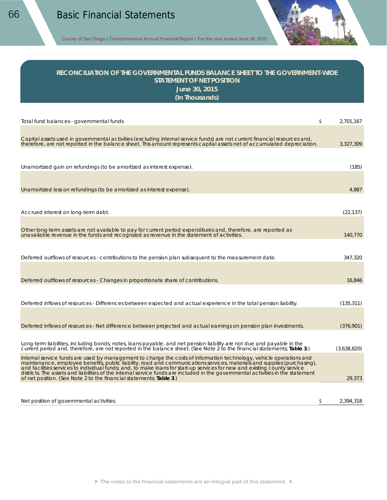

### **RECONCILIATION OF THE GOVERNMENTAL FUNDS BALANCE SHEET TO THE GOVERNMENT-WIDE STATEMENT OF NET POSITION June 30, 2015**

**(In Thousands)**

| Total fund balances - governmental funds                                                                                                                                                                                                                                                                                                                                                                                                                                                                                                                                                | \$<br>2,701,167 |
|-----------------------------------------------------------------------------------------------------------------------------------------------------------------------------------------------------------------------------------------------------------------------------------------------------------------------------------------------------------------------------------------------------------------------------------------------------------------------------------------------------------------------------------------------------------------------------------------|-----------------|
| Capital assets used in governmental activities (excluding internal service funds) are not current financial resources and,<br>therefore, are not reported in the balance sheet. This amount represents capital assets net of accumulated depreciation.                                                                                                                                                                                                                                                                                                                                  | 3,327,309       |
| Unamortized gain on refundings (to be amortized as interest expense).                                                                                                                                                                                                                                                                                                                                                                                                                                                                                                                   | (185)           |
| Unamortized loss on refundings (to be amortized as interest expense).                                                                                                                                                                                                                                                                                                                                                                                                                                                                                                                   | 4,887           |
| Accrued interest on long-term debt.                                                                                                                                                                                                                                                                                                                                                                                                                                                                                                                                                     | (22, 137)       |
| Other long-term assets are not available to pay for current period expenditures and, therefore, are reported as<br>unavailable revenue in the funds and recognized as revenue in the statement of activities.                                                                                                                                                                                                                                                                                                                                                                           | 140,770         |
| Deferred outflows of resources - contributions to the pension plan subsequent to the measurement date.                                                                                                                                                                                                                                                                                                                                                                                                                                                                                  | 347,320         |
| Deferred outflows of resources - Changes in proportionate share of contributions.                                                                                                                                                                                                                                                                                                                                                                                                                                                                                                       | 16,846          |
| Deferred inflows of resources - Differences between expected and actual experience in the total pension liability.                                                                                                                                                                                                                                                                                                                                                                                                                                                                      | (135, 311)      |
| Deferred inflows of resources - Net difference between projected and actual earnings on pension plan investments.                                                                                                                                                                                                                                                                                                                                                                                                                                                                       | (376,901)       |
| Long-term liabilities, including bonds, notes, loans payable, and net pension liability are not due and payable in the<br>current period and, therefore, are not reported in the balance sheet. (See Note 2 to the financial statements; Table 3.)                                                                                                                                                                                                                                                                                                                                      | (3,638,820)     |
| Internal service funds are used by management to charge the costs of information technology, vehicle operations and<br>maintenance, employee benefits, public liability, road and communications services, materials and supplies (purchasing),<br>and facilities services to individual funds; and, to make loans for start-up services for new and existing county service<br>districts. The assets and liabilities of the internal service funds are included in the governmental activities in the statement<br>of net position. (See Note 2 to the financial statements; Table 3.) | 29,373          |
|                                                                                                                                                                                                                                                                                                                                                                                                                                                                                                                                                                                         |                 |
| Net position of governmental activities                                                                                                                                                                                                                                                                                                                                                                                                                                                                                                                                                 | \$<br>2,394,318 |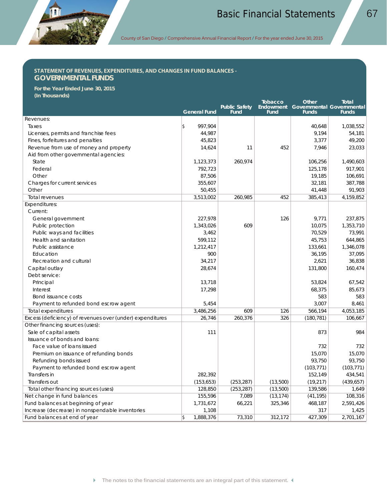#### **STATEMENT OF REVENUES, EXPENDITURES, AND CHANGES IN FUND BALANCES - GOVERNMENTAL FUNDS**

**For the Year Ended June 30, 2015 (In Thousands)**

|                                                           |                     | <b>Public Safety</b> | <b>Tobacco</b> | Other<br>Endowment Governmental Governmental | <b>Total</b> |
|-----------------------------------------------------------|---------------------|----------------------|----------------|----------------------------------------------|--------------|
|                                                           | <b>General Fund</b> | <b>Fund</b>          | <b>Fund</b>    | Funds                                        | Funds        |
| Revenues:                                                 |                     |                      |                |                                              |              |
| Taxes                                                     | \$<br>997,904       |                      |                | 40,648                                       | 1,038,552    |
| Licenses, permits and franchise fees                      | 44,987              |                      |                | 9,194                                        | 54,181       |
| Fines, forfeitures and penalties                          | 45,823              |                      |                | 3,377                                        | 49,200       |
| Revenue from use of money and property                    | 14,624              | 11                   | 452            | 7,946                                        | 23,033       |
| Aid from other governmental agencies:                     |                     |                      |                |                                              |              |
| State                                                     | 1,123,373           | 260,974              |                | 106,256                                      | 1,490,603    |
| Federal                                                   | 792,723             |                      |                | 125,178                                      | 917,901      |
| Other                                                     | 87,506              |                      |                | 19,185                                       | 106,691      |
| Charges for current services                              | 355,607             |                      |                | 32,181                                       | 387,788      |
| Other                                                     | 50,455              |                      |                | 41,448                                       | 91,903       |
| <b>Total revenues</b>                                     | 3,513,002           | 260,985              | 452            | 385,413                                      | 4,159,852    |
| Expenditures:                                             |                     |                      |                |                                              |              |
| Current:                                                  |                     |                      |                |                                              |              |
| General government                                        | 227,978             |                      | 126            | 9,771                                        | 237,875      |
| Public protection                                         | 1,343,026           | 609                  |                | 10,075                                       | 1,353,710    |
| Public ways and facilities                                | 3,462               |                      |                | 70,529                                       | 73,991       |
| Health and sanitation                                     | 599,112             |                      |                | 45,753                                       | 644,865      |
| Public assistance                                         | 1,212,417           |                      |                | 133,661                                      | 1,346,078    |
| Education                                                 | 900                 |                      |                | 36,195                                       | 37,095       |
| Recreation and cultural                                   | 34,217              |                      |                | 2,621                                        | 36,838       |
| Capital outlay                                            | 28,674              |                      |                | 131,800                                      | 160,474      |
| Debt service:                                             |                     |                      |                |                                              |              |
| Principal                                                 | 13,718              |                      |                | 53,824                                       | 67,542       |
| Interest                                                  | 17,298              |                      |                | 68,375                                       | 85,673       |
| <b>Bond issuance costs</b>                                |                     |                      |                | 583                                          | 583          |
| Payment to refunded bond escrow agent                     | 5,454               |                      |                | 3,007                                        | 8,461        |
| <b>Total expenditures</b>                                 | 3,486,256           | 609                  | 126            | 566,194                                      | 4,053,185    |
| Excess (deficiency) of revenues over (under) expenditures | 26,746              | 260,376              | 326            | (180, 781)                                   | 106,667      |
| Other financing sources (uses):                           |                     |                      |                |                                              |              |
| Sale of capital assets                                    | 111                 |                      |                | 873                                          | 984          |
| Issuance of bonds and loans:                              |                     |                      |                |                                              |              |
| Face value of loans issued                                |                     |                      |                | 732                                          | 732          |
| Premium on issuance of refunding bonds                    |                     |                      |                | 15,070                                       | 15,070       |
| Refunding bonds issued                                    |                     |                      |                | 93,750                                       | 93,750       |
| Payment to refunded bond escrow agent                     |                     |                      |                | (103, 771)                                   | (103, 771)   |
| Transfers in                                              | 282,392             |                      |                | 152,149                                      | 434,541      |
| Transfers out                                             | (153, 653)          | (253, 287)           | (13,500)       | (19, 217)                                    | (439, 657)   |
| Total other financing sources (uses)                      | 128,850             | (253, 287)           | (13,500)       | 139,586                                      | 1,649        |
| Net change in fund balances                               | 155,596             | 7,089                | (13, 174)      | (41, 195)                                    | 108,316      |
| Fund balances at beginning of year                        | 1,731,672           | 66,221               | 325,346        | 468,187                                      | 2,591,426    |
| Increase (decrease) in nonspendable inventories           | 1,108               |                      |                | 317                                          | 1,425        |
| Fund balances at end of year                              | \$<br>1,888,376     | 73,310               | 312,172        | 427,309                                      | 2,701,167    |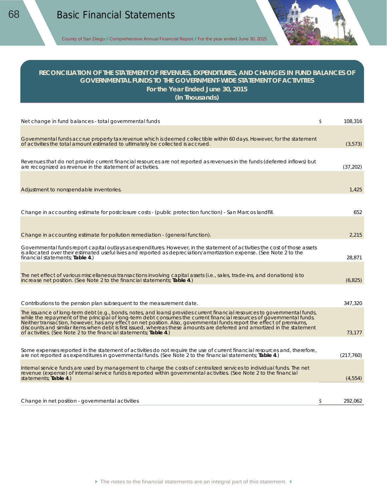

### **RECONCILIATION OF THE STATEMENT OF REVENUES, EXPENDITURES, AND CHANGES IN FUND BALANCES OF GOVERNMENTAL FUNDS TO THE GOVERNMENT-WIDE STATEMENT OF ACTIVITIES For the Year Ended June 30, 2015**

**(In Thousands)**

| Net change in fund balances - total governmental funds                                                                                                                                                                                               | \$<br>108,316 |
|------------------------------------------------------------------------------------------------------------------------------------------------------------------------------------------------------------------------------------------------------|---------------|
|                                                                                                                                                                                                                                                      |               |
| Governmental funds accrue property tax revenue which is deemed collectible within 60 days. However, for the statement<br>of activities the total amount estimated to ultimately be collected is accrued.                                             | (3,573)       |
|                                                                                                                                                                                                                                                      |               |
| Revenues that do not provide current financial resources are not reported as revenues in the funds (deferred inflows) but<br>are recognized as revenue in the statement of activities.                                                               | (37, 202)     |
|                                                                                                                                                                                                                                                      |               |
| Adjustment to nonspendable inventories.                                                                                                                                                                                                              | 1,425         |
|                                                                                                                                                                                                                                                      |               |
|                                                                                                                                                                                                                                                      |               |
| Change in accounting estimate for postclosure costs - (public protection function) - San Marcos landfill.                                                                                                                                            | 652           |
|                                                                                                                                                                                                                                                      |               |
| Change in accounting estimate for pollution remediation - (general function).                                                                                                                                                                        | 2,215         |
| Governmental funds report capital outlays as expenditures. However, in the statement of activities the cost of those assets                                                                                                                          |               |
| is allocated over their estimated useful lives and reported as depreciation/amortization expense. (See Note 2 to the<br>financial statements; Table 4.)                                                                                              | 28.871        |
|                                                                                                                                                                                                                                                      |               |
| The net effect of various miscellaneous transactions involving capital assets (i.e., sales, trade-ins, and donations) is to<br>increase net position. (See Note 2 to the financial statements; Table 4.)                                             | (6,825)       |
|                                                                                                                                                                                                                                                      |               |
|                                                                                                                                                                                                                                                      |               |
| Contributions to the pension plan subsequent to the measurement date.                                                                                                                                                                                | 347,320       |
| The issuance of long-term debt (e.g., bonds, notes, and loans) provides current financial resources to governmental funds,<br>while the repayment of the principal of long-term debt consumes the current financial resources of governmental funds. |               |
| Neither transaction, however, has any effect on net position. Also, governmental funds report the effect of premiums,<br>discounts and similar items when debt is first issued, whereas these amounts are deferred and amortized in the statement    |               |
| of activities. (See Note 2 to the financial statements; Table 4.)                                                                                                                                                                                    | 73,177        |
| Some expenses reported in the statement of activities do not require the use of current financial resources and, therefore,                                                                                                                          |               |
| are not reported as expenditures in governmental funds. (See Note 2 to the financial statements; Table 4.)                                                                                                                                           | (217, 760)    |
| Internal service funds are used by management to charge the costs of centralized services to individual funds. The net<br>revenue (expense) of internal service funds is reported within governmental activities. (See Note 2 to the financial       |               |
| statements; Table 4.)                                                                                                                                                                                                                                | (4,554)       |
|                                                                                                                                                                                                                                                      |               |
| Change in net position - governmental activities                                                                                                                                                                                                     | \$<br>292.062 |
|                                                                                                                                                                                                                                                      |               |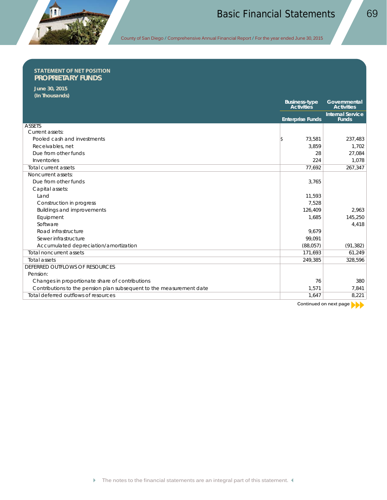

### **STATEMENT OF NET POSITION PROPRIETARY FUNDS**

**June 30, 2015**

08

| (In Thousands)                                                       | <b>Business-type</b>    | Governmental                            |
|----------------------------------------------------------------------|-------------------------|-----------------------------------------|
|                                                                      | <b>Activities</b>       | <b>Activities</b>                       |
|                                                                      | <b>Enterprise Funds</b> | <b>Internal Service</b><br><b>Funds</b> |
| <b>ASSETS</b>                                                        |                         |                                         |
| Current assets:                                                      |                         |                                         |
| Pooled cash and investments                                          | \$<br>73,581            | 237,483                                 |
| Receivables, net                                                     | 3.859                   | 1,702                                   |
| Due from other funds                                                 | 28                      | 27,084                                  |
| Inventories                                                          | 224                     | 1,078                                   |
| <b>Total current assets</b>                                          | 77,692                  | 267,347                                 |
| Noncurrent assets:                                                   |                         |                                         |
| Due from other funds                                                 | 3,765                   |                                         |
| Capital assets:                                                      |                         |                                         |
| Land                                                                 | 11,593                  |                                         |
| Construction in progress                                             | 7,528                   |                                         |
| <b>Buildings and improvements</b>                                    | 126,409                 | 2,963                                   |
| Equipment                                                            | 1,685                   | 145,250                                 |
| Software                                                             |                         | 4,418                                   |
| Road infrastructure                                                  | 9,679                   |                                         |
| Sewer infrastructure                                                 | 99,091                  |                                         |
| Accumulated depreciation/amortization                                | (88,057)                | (91, 382)                               |
| <b>Total noncurrent assets</b>                                       | 171,693                 | 61,249                                  |
| Total assets                                                         | 249,385                 | 328,596                                 |
| DEFERRED OUTFLOWS OF RESOURCES                                       |                         |                                         |
| Pension:                                                             |                         |                                         |
| Changes in proportionate share of contributions                      | 76                      | 380                                     |
| Contributions to the pension plan subsequent to the measurement date | 1,571                   | 7,841                                   |
| Total deferred outflows of resources                                 | 1,647                   | 8,221                                   |
|                                                                      |                         |                                         |

**Continued on next page**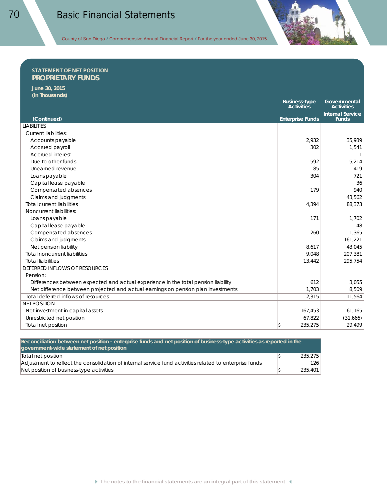County of San Diego **/** Comprehensive Annual Financial Report **/** For the year ended June 30, 2015

t" I

### **STATEMENT OF NET POSITION PROPRIETARY FUNDS**

**June 30, 2015 (In Thousands)**

|                                                                                   | <b>Business-type</b><br><b>Activities</b> | Governmental<br><b>Activities</b>       |
|-----------------------------------------------------------------------------------|-------------------------------------------|-----------------------------------------|
| (Continued)                                                                       | <b>Enterprise Funds</b>                   | <b>Internal Service</b><br><b>Funds</b> |
| <b>LIABILITIES</b>                                                                |                                           |                                         |
| <b>Current liabilities:</b>                                                       |                                           |                                         |
| Accounts payable                                                                  | 2,932                                     | 35,939                                  |
| Accrued payroll                                                                   | 302                                       | 1,541                                   |
| <b>Accrued interest</b>                                                           |                                           | 1                                       |
| Due to other funds                                                                | 592                                       | 5,214                                   |
| Unearned revenue                                                                  | 85                                        | 419                                     |
| Loans payable                                                                     | 304                                       | 721                                     |
| Capital lease payable                                                             |                                           | 36                                      |
| Compensated absences                                                              | 179                                       | 940                                     |
| Claims and judgments                                                              |                                           | 43,562                                  |
| <b>Total current liabilities</b>                                                  | 4.394                                     | 88,373                                  |
| Noncurrent liabilities:                                                           |                                           |                                         |
| Loans payable                                                                     | 171                                       | 1,702                                   |
| Capital lease payable                                                             |                                           | 48                                      |
| Compensated absences                                                              | 260                                       | 1,365                                   |
| Claims and judgments                                                              |                                           | 161,221                                 |
| Net pension liability                                                             | 8.617                                     | 43,045                                  |
| <b>Total noncurrent liabilities</b>                                               | 9.048                                     | 207,381                                 |
| <b>Total liabilities</b>                                                          | 13,442                                    | 295,754                                 |
| DEFERRED INFLOWS OF RESOURCES                                                     |                                           |                                         |
| Pension:                                                                          |                                           |                                         |
| Differences between expected and actual experience in the total pension liability | 612                                       | 3,055                                   |
| Net difference between projected and actual earnings on pension plan investments  | 1,703                                     | 8,509                                   |
| Total deferred inflows of resources                                               | 2,315                                     | 11,564                                  |
| <b>NET POSITION</b>                                                               |                                           |                                         |
| Net investment in capital assets                                                  | 167,453                                   | 61,165                                  |
| Unrestricted net position                                                         | 67,822                                    | (31,666)                                |
| Total net position                                                                | \$<br>235,275                             | 29,499                                  |

| Reconciliation between net position - enterprise funds and net position of business-type activities as reported in the<br>government-wide statement of net position |  |         |  |  |
|---------------------------------------------------------------------------------------------------------------------------------------------------------------------|--|---------|--|--|
| Total net position                                                                                                                                                  |  | 235.275 |  |  |
| Adjustment to reflect the consolidation of internal service fund activities related to enterprise funds                                                             |  | 126     |  |  |
| Net position of business-type activities                                                                                                                            |  | 235,401 |  |  |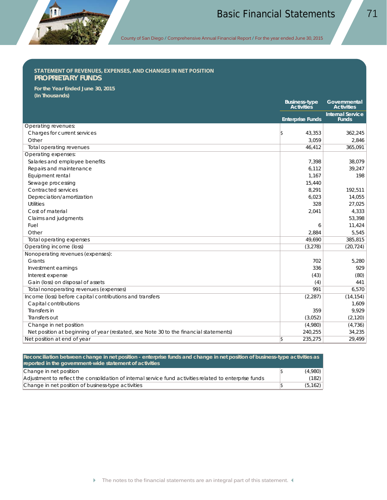#### **STATEMENT OF REVENUES, EXPENSES, AND CHANGES IN NET POSITION PROPRIETARY FUNDS**

**For the Year Ended June 30, 2015 (In Thousands)**

|                                                                                       | <b>Enterprise Funds</b> | <b>Internal Service</b><br><b>Funds</b> |
|---------------------------------------------------------------------------------------|-------------------------|-----------------------------------------|
| Operating revenues:                                                                   |                         |                                         |
| Charges for current services                                                          | \$<br>43,353            | 362,245                                 |
| Other                                                                                 | 3,059                   | 2,846                                   |
| Total operating revenues                                                              | 46,412                  | 365,091                                 |
| Operating expenses:                                                                   |                         |                                         |
| Salaries and employee benefits                                                        | 7.398                   | 38,079                                  |
| Repairs and maintenance                                                               | 6,112                   | 39,247                                  |
| Equipment rental                                                                      | 1.167                   | 198                                     |
| Sewage processing                                                                     | 15,440                  |                                         |
| Contracted services                                                                   | 8,291                   | 192,511                                 |
| Depreciation/amortization                                                             | 6,023                   | 14,055                                  |
| <b>Utilities</b>                                                                      | 328                     | 27,025                                  |
| Cost of material                                                                      | 2,041                   | 4,333                                   |
| Claims and judgments                                                                  |                         | 53,398                                  |
| Fuel                                                                                  | 6                       | 11,424                                  |
| Other                                                                                 | 2.884                   | 5,545                                   |
| Total operating expenses                                                              | 49.690                  | 385,815                                 |
| Operating income (loss)                                                               | (3, 278)                | (20, 724)                               |
| Nonoperating revenues (expenses):                                                     |                         |                                         |
| Grants                                                                                | 702                     | 5,280                                   |
| Investment earnings                                                                   | 336                     | 929                                     |
| Interest expense                                                                      | (43)                    | (80)                                    |
| Gain (loss) on disposal of assets                                                     | (4)                     | 441                                     |
| Total nonoperating revenues (expenses)                                                | 991                     | 6,570                                   |
| Income (loss) before capital contributions and transfers                              | (2, 287)                | (14, 154)                               |
| Capital contributions                                                                 |                         | 1,609                                   |
| Transfers in                                                                          | 359                     | 9,929                                   |
| Transfers out                                                                         | (3,052)                 | (2, 120)                                |
| Change in net position                                                                | (4,980)                 | (4, 736)                                |
| Net position at beginning of year (restated, see Note 30 to the financial statements) | 240,255                 | 34,235                                  |
| Net position at end of year                                                           | \$<br>235,275           | 29,499                                  |

| Reconciliation between change in net position - enterprise funds and change in net position of business-type activities as<br>reported in the government-wide statement of activities |  |          |  |
|---------------------------------------------------------------------------------------------------------------------------------------------------------------------------------------|--|----------|--|
| Change in net position                                                                                                                                                                |  | (4,980)  |  |
| Adjustment to reflect the consolidation of internal service fund activities related to enterprise funds                                                                               |  | (182)    |  |
| Change in net position of business-type activities                                                                                                                                    |  | (5, 162) |  |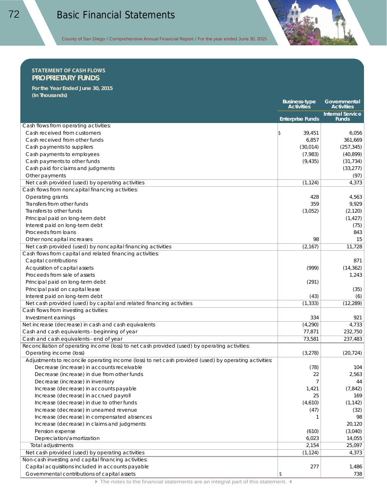County of San Diego **/** Comprehensive Annual Financial Report **/** For the year ended June 30, 2015

 $\mathbb{Z}^*$ 

### **STATEMENT OF CASH FLOWS PROPRIETARY FUNDS**

**For the Year Ended June 30, 2015 (In Thousands)**

|                                                                                                       | <b>Business-type</b><br><b>Activities</b> | Governmental<br><b>Activities</b>       |
|-------------------------------------------------------------------------------------------------------|-------------------------------------------|-----------------------------------------|
|                                                                                                       | <b>Enterprise Funds</b>                   | <b>Internal Service</b><br><b>Funds</b> |
| Cash flows from operating activities:                                                                 |                                           |                                         |
| Cash received from customers                                                                          | l\$<br>39,451                             | 6,056                                   |
| Cash received from other funds                                                                        | 6,857                                     | 361,669                                 |
| Cash payments to suppliers                                                                            | (30,014)                                  | (257, 345)                              |
| Cash payments to employees                                                                            | (7,983)                                   | (40, 899)                               |
|                                                                                                       | (9, 435)                                  | (31, 734)                               |
| Cash payments to other funds                                                                          |                                           |                                         |
| Cash paid for claims and judgments                                                                    |                                           | (33, 277)                               |
| Other payments                                                                                        |                                           | (97)                                    |
| Net cash provided (used) by operating activities                                                      | (1, 124)                                  | 4,373                                   |
| Cash flows from noncapital financing activities:                                                      |                                           |                                         |
| Operating grants                                                                                      | 428                                       | 4,563                                   |
| Transfers from other funds                                                                            | 359                                       | 9,929                                   |
| Transfers to other funds                                                                              | (3,052)                                   | (2, 120)                                |
| Principal paid on long-term debt                                                                      |                                           | (1, 427)                                |
| Interest paid on long-term debt                                                                       |                                           | (75)                                    |
| Proceeds from loans                                                                                   |                                           | 843                                     |
| Other noncapital increases                                                                            | 98                                        | 15                                      |
| Net cash provided (used) by noncapital financing activities                                           | (2, 167)                                  | 11,728                                  |
| Cash flows from capital and related financing activities:                                             |                                           |                                         |
| Capital contributions                                                                                 |                                           | 871                                     |
| Acquisition of capital assets                                                                         | (999)                                     | (14, 362)                               |
| Proceeds from sale of assets                                                                          |                                           | 1,243                                   |
| Principal paid on long-term debt                                                                      | (291)                                     |                                         |
| Principal paid on capital lease                                                                       |                                           | (35)                                    |
| Interest paid on long-term debt                                                                       | (43)                                      | (6)                                     |
| Net cash provided (used) by capital and related financing activities                                  | (1, 333)                                  | (12, 289)                               |
| Cash flows from investing activities:                                                                 |                                           |                                         |
| Investment earnings                                                                                   | 334                                       | 921                                     |
| Net increase (decrease) in cash and cash equivalents                                                  | (4, 290)                                  | 4,733                                   |
| Cash and cash equivalents - beginning of year                                                         | 77,871                                    | 232,750                                 |
| Cash and cash equivalents - end of year                                                               | 73,581                                    | 237,483                                 |
| Reconciliation of operating income (loss) to net cash provided (used) by operating activities:        |                                           |                                         |
| Operating income (loss)                                                                               | (3,278)                                   | (20, 724)                               |
| Adjustments to reconcile operating income (loss) to net cash provided (used) by operating activities: |                                           |                                         |
| Decrease (increase) in accounts receivable                                                            | (78)                                      | 104                                     |
| Decrease (increase) in due from other funds                                                           | 22                                        | 2,563                                   |
|                                                                                                       |                                           | 44                                      |
| Decrease (increase) in inventory                                                                      | 7                                         |                                         |
| Increase (decrease) in accounts payable                                                               | 1,421                                     | (7, 842)                                |
| Increase (decrease) in accrued payroll                                                                | 25                                        | 169                                     |
| Increase (decrease) in due to other funds                                                             | (4,610)                                   | (1, 142)                                |
| Increase (decrease) in unearned revenue                                                               | (47)                                      | (32)                                    |
| Increase (decrease) in compensated absences                                                           |                                           | 98                                      |
| Increase (decrease) in claims and judgments                                                           |                                           | 20,120                                  |
| Pension expense                                                                                       | (610)                                     | (3,040)                                 |
| Depreciation/amortization                                                                             | 6,023                                     | 14,055                                  |
| Total adjustments                                                                                     | 2,154                                     | 25,097                                  |
| Net cash provided (used) by operating activities                                                      | (1, 124)                                  | 4,373                                   |
| Non-cash investing and capital financing activities:                                                  |                                           |                                         |
| Capital acquisitions included in accounts payable                                                     | 277                                       | 1,486                                   |
| Governmental contributions of capital assets                                                          | \$                                        | 738                                     |

**The notes to the financial statements are an integral part of this statement.** 4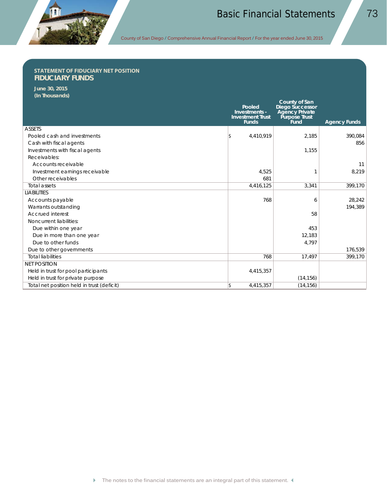

County of San Diego **/** Comprehensive Annual Financial Report **/** For the year ended June 30, 2015

#### **STATEMENT OF FIDUCIARY NET POSITION FIDUCIARY FUNDS**

**June 30, 2015 (In Thousands)**

|                                            | Pooled<br>Investments -<br><b>Investment Trust</b> | County of San<br><b>Diego Successor</b><br><b>Agency Private</b><br>Purpose Trust |                     |
|--------------------------------------------|----------------------------------------------------|-----------------------------------------------------------------------------------|---------------------|
|                                            | <b>Funds</b>                                       | Fund                                                                              | <b>Agency Funds</b> |
| <b>ASSETS</b>                              |                                                    |                                                                                   |                     |
| Pooled cash and investments                | 4,410,919<br>Ś                                     | 2,185                                                                             | 390,084             |
| Cash with fiscal agents                    |                                                    |                                                                                   | 856                 |
| Investments with fiscal agents             |                                                    | 1,155                                                                             |                     |
| Receivables:                               |                                                    |                                                                                   |                     |
| Accounts receivable                        |                                                    |                                                                                   | 11                  |
| Investment earnings receivable             | 4,525                                              |                                                                                   | 8,219               |
| Other receivables                          | 681                                                |                                                                                   |                     |
| Total assets                               | 4,416,125                                          | 3,341                                                                             | 399,170             |
| <b>LIABILITIES</b>                         |                                                    |                                                                                   |                     |
| Accounts payable                           | 768                                                | 6                                                                                 | 28.242              |
| Warrants outstanding                       |                                                    |                                                                                   | 194,389             |
| <b>Accrued interest</b>                    |                                                    | 58                                                                                |                     |
| Noncurrent liabilities:                    |                                                    |                                                                                   |                     |
| Due within one year                        |                                                    | 453                                                                               |                     |
| Due in more than one year                  |                                                    | 12,183                                                                            |                     |
| Due to other funds                         |                                                    | 4,797                                                                             |                     |
| Due to other governments                   |                                                    |                                                                                   | 176,539             |
| <b>Total liabilities</b>                   | 768                                                | 17,497                                                                            | 399,170             |
| <b>NET POSITION</b>                        |                                                    |                                                                                   |                     |
| Held in trust for pool participants        | 4,415,357                                          |                                                                                   |                     |
| Held in trust for private purpose          |                                                    | (14, 156)                                                                         |                     |
| Total net position held in trust (deficit) | 4,415,357<br>\$                                    | (14, 156)                                                                         |                     |